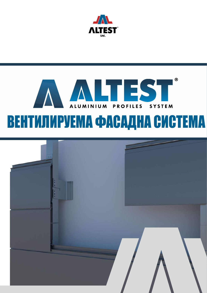



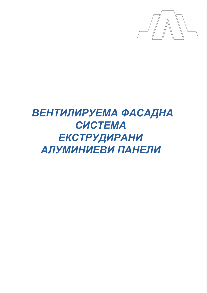

# *ВЕНТИЛИРУЕМА ФАСАДНА СИСТЕМА ЕКСТРУДИРАНИ АЛУМИНИЕВИ ПАНЕЛИ*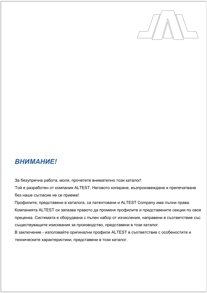

### **ВНИМАНИЕ!**

За безупречна работа, моля, прочетете внимателно този каталог!

Той е разработен от компания ALTEST. Неговото копиране, възпроизвеждане и препечатване без наше съгласие не се приема!

Профилите, представени в каталога, са патентовани и ALTEST Company има пълни права.

Компанията ALTEST си запазва правото да променя профилите и представените секции по своя преценка. Системата е оборудвана с пълен набор от изчисления, направени в съответствие със съществуващите изисквания за производство, представени в този каталог.

В заключение - използвайте оригинални профили ALTEST в съответствие с особеностите и техническите характеристики, представени в този каталог.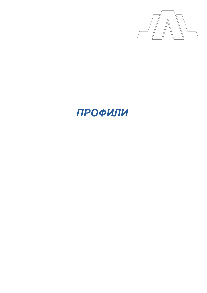

### *ПРОФИЛИ*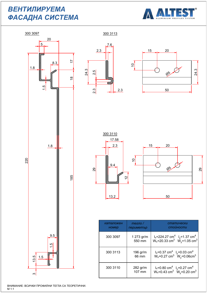# *ВЕНТИЛИРУЕМА* **ВЕНТИЛИРУЕМА**<br>ФАСАДНА СИСТЕМА А ДАЛИ I ST

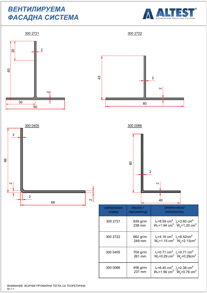# *ВЕНТИЛИРУЕМА* **ВЕНТИЛИРУЕМА**<br>ФАСАДНА СИСТЕМА А ДАЛИ I ST



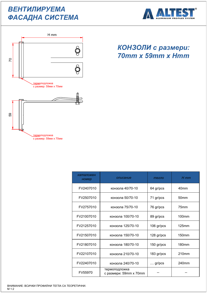



| каталожен<br>номер | описание                                | тегло           | $H$ mm       |
|--------------------|-----------------------------------------|-----------------|--------------|
| FV2407010          | конзола 40/70-10                        | 64 gr/pcs       | 40mm         |
| FV2507010          | конзола 50/70-10                        | 71 gr/pcs       | 50mm         |
| FV2757010          | конзола 75/70-10                        | 76 gr/pcs       | 75mm         |
| FV21007010         | конзола 100/70-10                       | 89 gr/pcs       | 100mm        |
| FV21257010         | конзола 125/70-10                       | 106 gr/pcs      | <b>125mm</b> |
| FV21507010         | конзола 150/70-10                       | 128 gr/pcs      | 150mm        |
| FV21807010         | конзола 180/70-10                       | 150 gr/pcs      | <b>180mm</b> |
| FV22107010         | конзола 210/70-10                       | 183 gr/pcs      | 210mm        |
| FV22407010         | конзола 240/70-10                       | $\ldots$ gr/pcs | 240mm        |
| FV55970            | термоподложка<br>с размери: 59mm x 70mm |                 |              |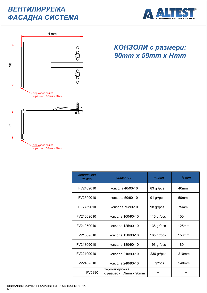



| каталожен<br>номер | описание                                | тегло           | $H$ mm       |
|--------------------|-----------------------------------------|-----------------|--------------|
| FV2409010          | конзола 40/90-10                        | 83 gr/pcs       | 40mm         |
| FV2509010          | конзола 50/90-10                        | 91 gr/pcs       | 50mm         |
| FV2759010          | конзола 75/90-10                        | 98 gr/pcs       | 75mm         |
| FV21009010         | конзола 100/90-10                       | 115 gr/pcs      | 100mm        |
| FV21259010         | конзола 125/90-10                       | 136 gr/pcs      | <b>125mm</b> |
| FV21509010         | конзола 150/90-10                       | 165 gr/pcs      | <b>150mm</b> |
| FV21809010         | конзола 180/90-10                       | 193 gr/pcs      | <b>180mm</b> |
| FV22109010         | конзола 210/90-10                       | 236 gr/pcs      | 210mm        |
| FV22409010         | конзола 240/90-10                       | $\ldots$ gr/pcs | 240mm        |
| <b>FV5990</b>      | термоподложка<br>с размери: 59mm x 90mm |                 |              |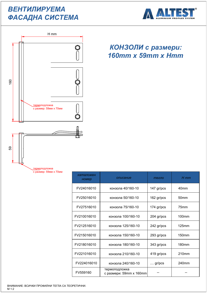



| с размер: 59мм х 70мм | каталожен<br>номер | описание                                 | тегло           | $H$ mm           |
|-----------------------|--------------------|------------------------------------------|-----------------|------------------|
|                       | FV24016010         | конзола 40/160-10                        | 147 gr/pcs      | 40 <sub>mm</sub> |
|                       | FV25016010         | конзола 50/160-10                        | 162 gr/pcs      | 50mm             |
|                       | FV27516010         | конзола 75/160-10                        | 174 gr/pcs      | 75mm             |
|                       | FV210016010        | конзола 100/160-10                       | 204 gr/pcs      | 100mm            |
|                       | FV212516010        | конзола 125/160-10                       | 242 gr/pcs      | <b>125mm</b>     |
|                       | FV215016010        | конзола 150/160-10                       | 293 gr/pcs      | 150mm            |
|                       | FV218016010        | конзола 180/160-10                       | 343 gr/pcs      | <b>180mm</b>     |
|                       | FV221016010        | конзола 210/160-10                       | 419 gr/pcs      | 210mm            |
|                       | FV224016010        | конзола 240/160-10                       | $\ldots$ gr/pcs | 240mm            |
|                       | FV559160           | термоподложка<br>с размери: 59mm х 160mm |                 |                  |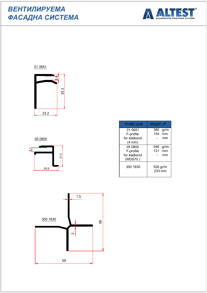

01 0651





| 23.2      |                                  |                          |
|-----------|----------------------------------|--------------------------|
|           | Profile code                     | Weight /P                |
|           | 01 0651<br>F-profile             | 380<br>gr/m<br>154<br>mm |
| 05 0800   | for etalbond<br>$(4 \text{ mm})$ | mm                       |
| <u> 기</u> | 05 0800<br>F-profile             | 246<br>gr/m<br>121<br>mm |
| 21,4      | for etalbond<br>(WDS70)          | mm                       |
| 24,9      | 300 1630                         | 526 gr/m<br>233 mm       |

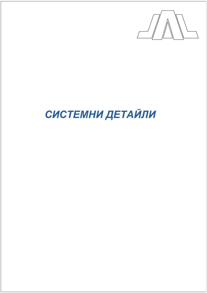

### *СИСТЕМНИ ДЕТАЙЛИ*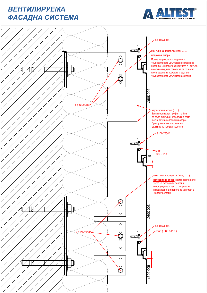

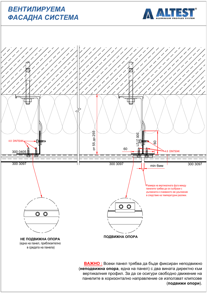



<mark>ВАЖНО :</mark> Всеки панел трябва да бъде фиксиран неподвижнс<br>**еподвижна опора**, една на панел) с два вината директно към<br>вертикалния профил. За да се осигури свободно движение на<br>панелите в хоризонтално направление се използв вертикалния профил. За да се осигури свободно движение на<br>панелите в хоризонтално направление се използват клипсове<br>(**подвижи опори**).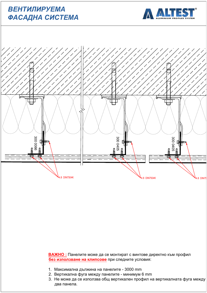![](_page_13_Picture_1.jpeg)

![](_page_13_Figure_2.jpeg)

ВАЖНО : Панелите може да се монтират с винтове директно към профил **ЕАЖНО :** Панелите може да се монтират с винтове д<br><mark>без използване на клипсове</mark> при следните условия:<br>1. Максимална дължина на панелите - 3000 mm <mark>ВАЖНО :</mark> Панелите може да се монтират с винтове д<br><mark>без използване на клипсове</mark> при следните условия:<br>1. Максимална дължина на панелите - 3000 mm<br>2. Вертикална фуга между панелите - минимум 6 mm

- 
- 
- 1. Максимална дължина на панелите 3000 mm<br>2. Вертикална фуга между панелите минимум 6 mm<br>3. Не може да се използва общ вертикален профил на вертикалната фуга между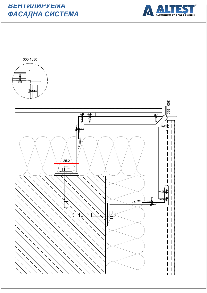### **БЕН І ИЈІИРУЕМА ФАСАДНА СИСТЕМА**

![](_page_14_Picture_1.jpeg)

![](_page_14_Figure_2.jpeg)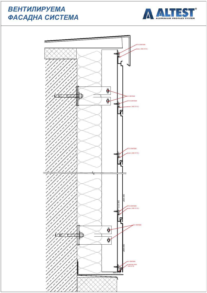![](_page_15_Picture_1.jpeg)

![](_page_15_Figure_2.jpeg)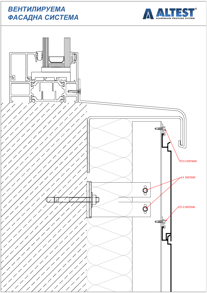# *ВЕНТИЛИРУЕМА* **ВЕНТИЛИРУЕМА A A LUMINUM PROPERTY**

![](_page_16_Picture_1.jpeg)

![](_page_16_Figure_2.jpeg)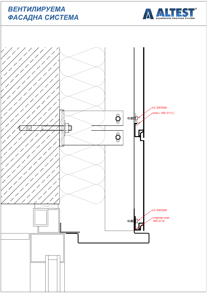# *ВЕНТИЛИРУЕМА* **ВЕНТИЛИРУЕМА A A LUMINUM PROPERTY**

![](_page_17_Picture_1.jpeg)

![](_page_17_Figure_2.jpeg)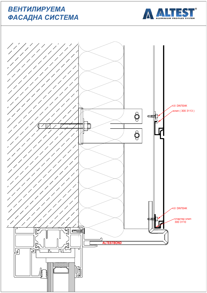![](_page_18_Picture_1.jpeg)

![](_page_18_Figure_2.jpeg)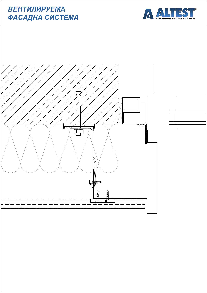### **ВЕНТИЛИРУЕМА ФАСАДНА СИСТЕМА**

![](_page_19_Picture_1.jpeg)

![](_page_19_Figure_2.jpeg)